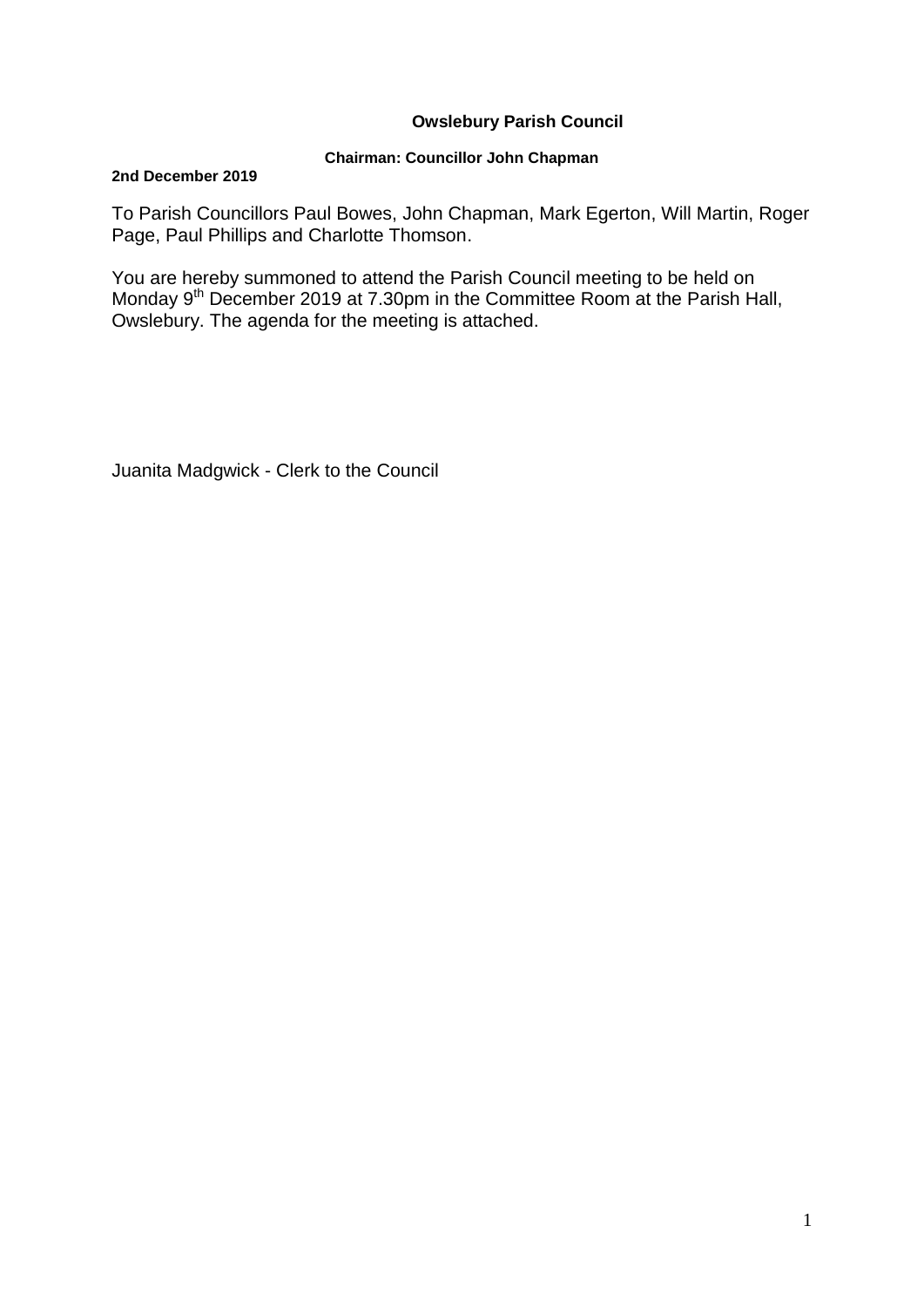### **Owslebury Parish Council**

### **Chairman: Councillor John Chapman**

#### **2nd December 2019**

To Parish Councillors Paul Bowes, John Chapman, Mark Egerton, Will Martin, Roger Page, Paul Phillips and Charlotte Thomson.

You are hereby summoned to attend the Parish Council meeting to be held on Monday 9<sup>th</sup> December 2019 at 7.30pm in the Committee Room at the Parish Hall, Owslebury. The agenda for the meeting is attached.

Juanita Madgwick - Clerk to the Council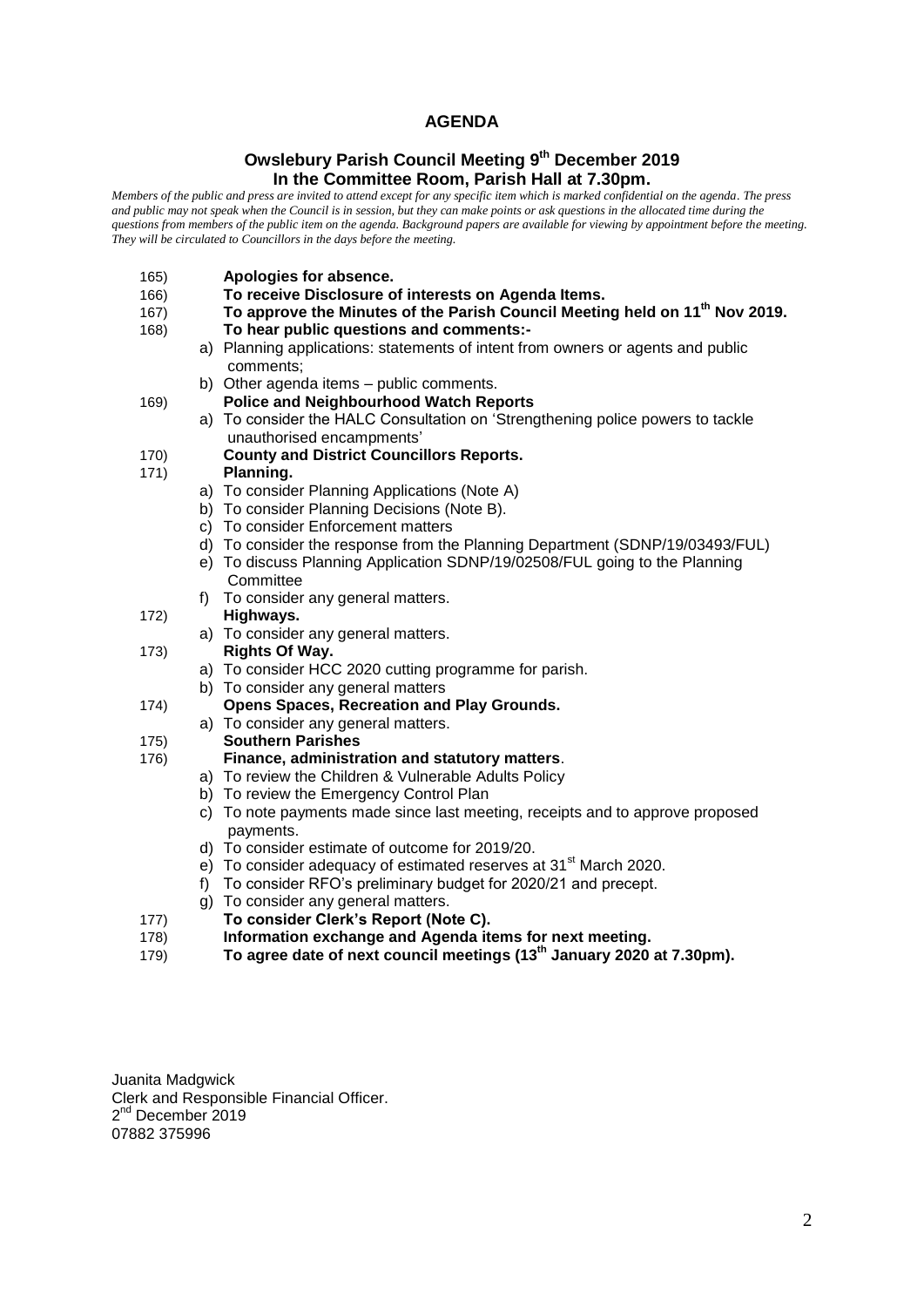### **AGENDA**

#### **Owslebury Parish Council Meeting 9 th December 2019 In the Committee Room, Parish Hall at 7.30pm.**

*Members of the public and press are invited to attend except for any specific item which is marked confidential on the agenda. The press and public may not speak when the Council is in session, but they can make points or ask questions in the allocated time during the questions from members of the public item on the agenda. Background papers are available for viewing by appointment before the meeting. They will be circulated to Councillors in the days before the meeting.* 

- 165) **Apologies for absence.**
- 166) **To receive Disclosure of interests on Agenda Items.**
- 167) **To approve the Minutes of the Parish Council Meeting held on 11th Nov 2019.**
- 168) **To hear public questions and comments:**
	- a) Planning applications: statements of intent from owners or agents and public comments;
	- b) Other agenda items public comments.
- 169) **Police and Neighbourhood Watch Reports**
	- a) To consider the HALC Consultation on 'Strengthening police powers to tackle unauthorised encampments'
- 170) **County and District Councillors Reports.**
- 171) **Planning.** 
	- a) To consider Planning Applications (Note A)
	- b) To consider Planning Decisions (Note B).
	- c) To consider Enforcement matters
	- d) To consider the response from the Planning Department (SDNP/19/03493/FUL)
	- e) To discuss Planning Application SDNP/19/02508/FUL going to the Planning **Committee**
	- f) To consider any general matters.
- 172) **Highways.**
- a) To consider any general matters. 173) **Rights Of Way.**
	- a) To consider HCC 2020 cutting programme for parish.
	- b) To consider any general matters
- 174) **Opens Spaces, Recreation and Play Grounds.**
	- a) To consider any general matters.
- 175) **Southern Parishes**

#### 176) **Finance, administration and statutory matters**.

- a) To review the Children & Vulnerable Adults Policy
- b) To review the Emergency Control Plan
- c) To note payments made since last meeting, receipts and to approve proposed payments.
- d) To consider estimate of outcome for 2019/20.
- e) To consider adequacy of estimated reserves at 31<sup>st</sup> March 2020.
- f) To consider RFO's preliminary budget for 2020/21 and precept.
- g) To consider any general matters.
- 177) **To consider Clerk's Report (Note C).**
- 178) **Information exchange and Agenda items for next meeting.**
- 179) **To agree date of next council meetings (13th January 2020 at 7.30pm).**

Juanita Madgwick Clerk and Responsible Financial Officer. 2<sup>nd</sup> December 2019 07882 375996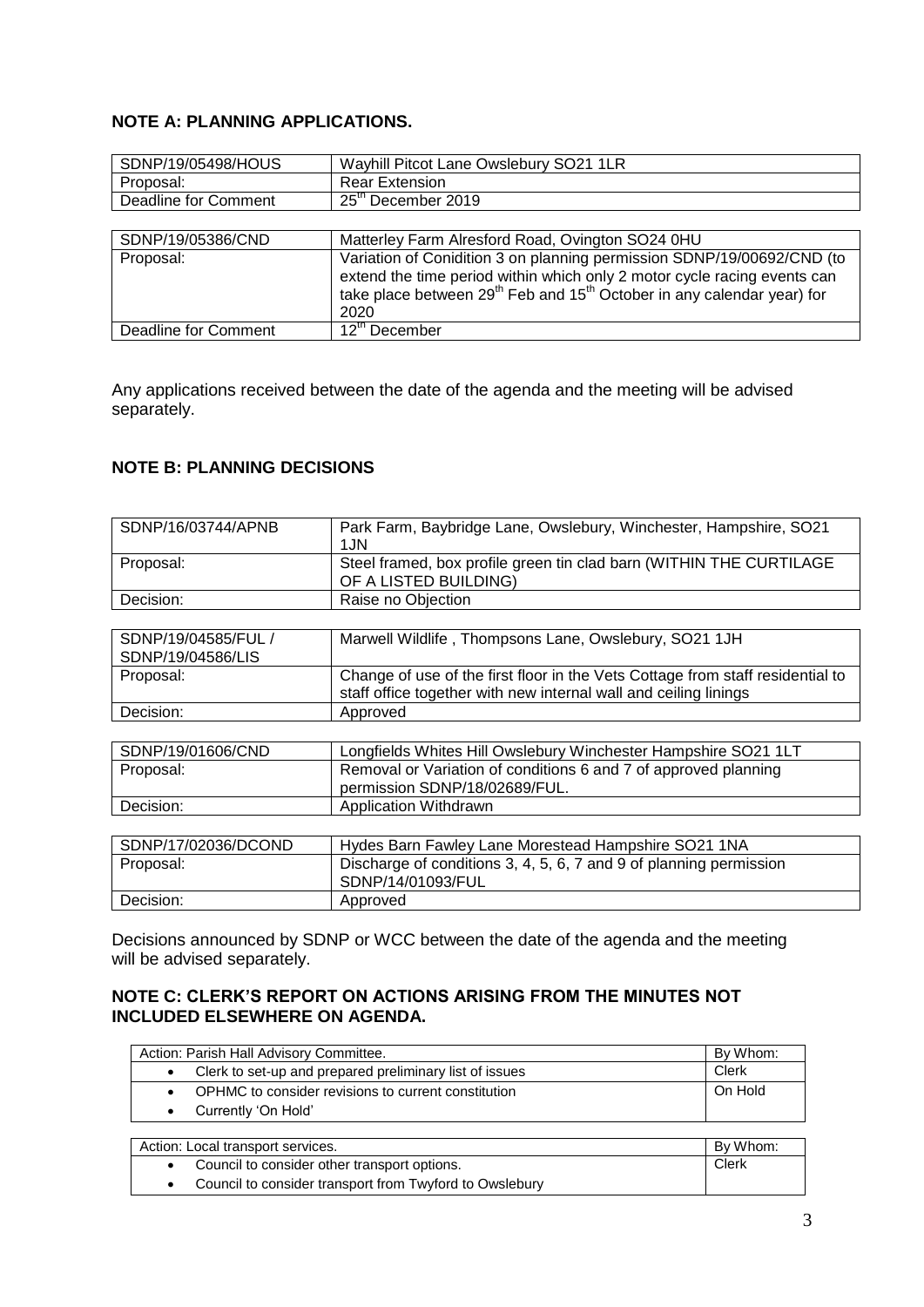# **NOTE A: PLANNING APPLICATIONS.**

| SDNP/19/05498/HOUS   | Wayhill Pitcot Lane Owslebury SO21 1LR                                                                                                                                                                                                               |
|----------------------|------------------------------------------------------------------------------------------------------------------------------------------------------------------------------------------------------------------------------------------------------|
| Proposal:            | <b>Rear Extension</b>                                                                                                                                                                                                                                |
| Deadline for Comment | 25 <sup>th</sup> December 2019                                                                                                                                                                                                                       |
|                      |                                                                                                                                                                                                                                                      |
| SDNP/19/05386/CND    | Matterley Farm Alresford Road, Ovington SO24 0HU                                                                                                                                                                                                     |
| Proposal:            | Variation of Conidition 3 on planning permission SDNP/19/00692/CND (to<br>extend the time period within which only 2 motor cycle racing events can<br>take place between 29 <sup>th</sup> Feb and 15 <sup>th</sup> October in any calendar year) for |

|                      | 2020                      |  |
|----------------------|---------------------------|--|
| Deadline for Comment | 12 <sup>th</sup> December |  |
|                      |                           |  |

Any applications received between the date of the agenda and the meeting will be advised separately.

# **NOTE B: PLANNING DECISIONS**

| SDNP/16/03744/APNB                       | Park Farm, Baybridge Lane, Owslebury, Winchester, Hampshire, SO21<br>1JN                                                                           |
|------------------------------------------|----------------------------------------------------------------------------------------------------------------------------------------------------|
| Proposal:                                | Steel framed, box profile green tin clad barn (WITHIN THE CURTILAGE<br>OF A LISTED BUILDING)                                                       |
| Decision:                                | Raise no Objection                                                                                                                                 |
|                                          |                                                                                                                                                    |
| SDNP/19/04585/FUL /<br>SDNP/19/04586/LIS | Marwell Wildlife, Thompsons Lane, Owslebury, SO21 1JH                                                                                              |
| Proposal:                                | Change of use of the first floor in the Vets Cottage from staff residential to<br>staff office together with new internal wall and ceiling linings |
| Decision:                                | Approved                                                                                                                                           |
|                                          |                                                                                                                                                    |
| SDNP/19/01606/CND                        | Longfields Whites Hill Owslebury Winchester Hampshire SO21 1LT                                                                                     |
| Proposal:                                | Removal or Variation of conditions 6 and 7 of approved planning<br>permission SDNP/18/02689/FUL.                                                   |
| Decision:                                | Application Withdrawn                                                                                                                              |
|                                          |                                                                                                                                                    |
| SDNP/17/02036/DCOND                      | Hydes Barn Fawley Lane Morestead Hampshire SO21 1NA                                                                                                |
| Proposal:                                | Discharge of conditions 3, 4, 5, 6, 7 and 9 of planning permission<br>SDNP/14/01093/FUL                                                            |
| Decision:                                | Approved                                                                                                                                           |

Decisions announced by SDNP or WCC between the date of the agenda and the meeting will be advised separately.

### **NOTE C: CLERK'S REPORT ON ACTIONS ARISING FROM THE MINUTES NOT INCLUDED ELSEWHERE ON AGENDA.**

| Action: Parish Hall Advisory Committee. |                                                         | By Whom: |
|-----------------------------------------|---------------------------------------------------------|----------|
|                                         | Clerk to set-up and prepared preliminary list of issues | Clerk    |
|                                         | OPHMC to consider revisions to current constitution     | On Hold  |
|                                         | Currently 'On Hold'                                     |          |
|                                         |                                                         |          |

| Action: Local transport services. |                                                         | By Whom: |
|-----------------------------------|---------------------------------------------------------|----------|
|                                   | Council to consider other transport options.            | Clerk    |
|                                   | Council to consider transport from Twyford to Owslebury |          |